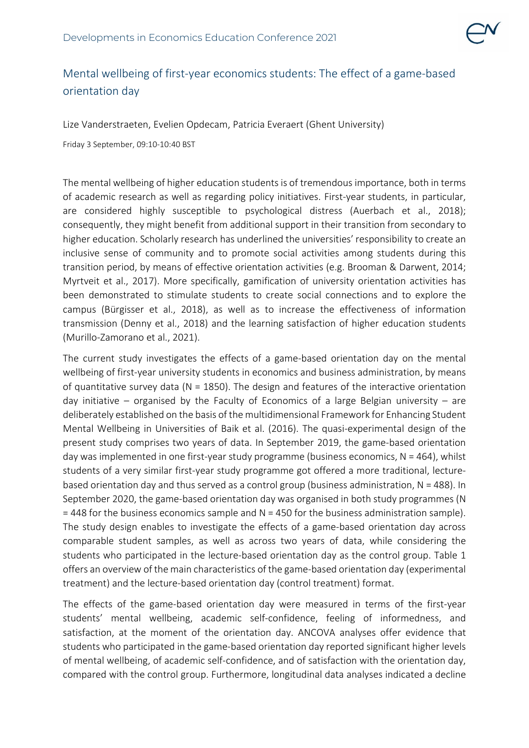

## Mental wellbeing of first-year economics students: The effect of a game-based orientation day

Lize Vanderstraeten, Evelien Opdecam, Patricia Everaert (Ghent University)

Friday 3 September, 09:10-10:40 BST

The mental wellbeing of higher education students is of tremendous importance, both in terms of academic research as well as regarding policy initiatives. First-year students, in particular, are considered highly susceptible to psychological distress (Auerbach et al., 2018); consequently, they might benefit from additional support in their transition from secondary to higher education. Scholarly research has underlined the universities' responsibility to create an inclusive sense of community and to promote social activities among students during this transition period, by means of effective orientation activities (e.g. Brooman & Darwent, 2014; Myrtveit et al., 2017). More specifically, gamification of university orientation activities has been demonstrated to stimulate students to create social connections and to explore the campus (Bürgisser et al., 2018), as well as to increase the effectiveness of information transmission (Denny et al., 2018) and the learning satisfaction of higher education students (Murillo-Zamorano et al., 2021).

The current study investigates the effects of a game-based orientation day on the mental wellbeing of first-year university students in economics and business administration, by means of quantitative survey data ( $N = 1850$ ). The design and features of the interactive orientation day initiative – organised by the Faculty of Economics of a large Belgian university – are deliberately established on the basis of the multidimensional Framework for Enhancing Student Mental Wellbeing in Universities of Baik et al. (2016). The quasi-experimental design of the present study comprises two years of data. In September 2019, the game-based orientation day was implemented in one first-year study programme (business economics,  $N = 464$ ), whilst students of a very similar first-year study programme got offered a more traditional, lecturebased orientation day and thus served as a control group (business administration, N = 488). In September 2020, the game-based orientation day was organised in both study programmes (N  $= 448$  for the business economics sample and  $N = 450$  for the business administration sample). The study design enables to investigate the effects of a game-based orientation day across comparable student samples, as well as across two years of data, while considering the students who participated in the lecture-based orientation day as the control group. Table 1 offers an overview of the main characteristics of the game-based orientation day (experimental treatment) and the lecture-based orientation day (control treatment) format.

The effects of the game-based orientation day were measured in terms of the first-year students' mental wellbeing, academic self-confidence, feeling of informedness, and satisfaction, at the moment of the orientation day. ANCOVA analyses offer evidence that students who participated in the game-based orientation day reported significant higher levels of mental wellbeing, of academic self-confidence, and of satisfaction with the orientation day, compared with the control group. Furthermore, longitudinal data analyses indicated a decline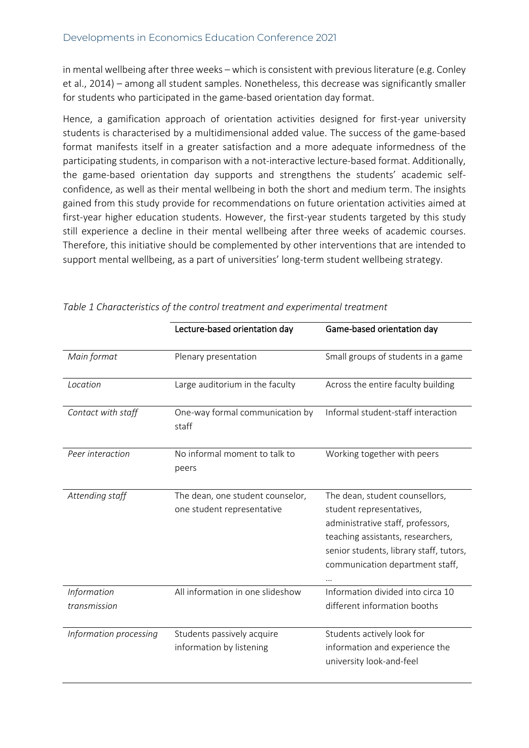in mental wellbeing after three weeks – which is consistent with previous literature (e.g. Conley et al., 2014) – among all student samples. Nonetheless, this decrease was significantly smaller for students who participated in the game-based orientation day format.

Hence, a gamification approach of orientation activities designed for first-year university students is characterised by a multidimensional added value. The success of the game-based format manifests itself in a greater satisfaction and a more adequate informedness of the participating students, in comparison with a not-interactive lecture-based format. Additionally, the game-based orientation day supports and strengthens the students' academic selfconfidence, as well as their mental wellbeing in both the short and medium term. The insights gained from this study provide for recommendations on future orientation activities aimed at first-year higher education students. However, the first-year students targeted by this study still experience a decline in their mental wellbeing after three weeks of academic courses. Therefore, this initiative should be complemented by other interventions that are intended to support mental wellbeing, as a part of universities' long-term student wellbeing strategy.

|                             | Lecture-based orientation day                                  | Game-based orientation day                                                                                                                                                                                         |
|-----------------------------|----------------------------------------------------------------|--------------------------------------------------------------------------------------------------------------------------------------------------------------------------------------------------------------------|
| Main format                 | Plenary presentation                                           | Small groups of students in a game                                                                                                                                                                                 |
| Location                    | Large auditorium in the faculty                                | Across the entire faculty building                                                                                                                                                                                 |
| Contact with staff          | One-way formal communication by<br>staff                       | Informal student-staff interaction                                                                                                                                                                                 |
| Peer interaction            | No informal moment to talk to<br>peers                         | Working together with peers                                                                                                                                                                                        |
| Attending staff             | The dean, one student counselor,<br>one student representative | The dean, student counsellors,<br>student representatives,<br>administrative staff, professors,<br>teaching assistants, researchers,<br>senior students, library staff, tutors,<br>communication department staff, |
| Information<br>transmission | All information in one slideshow                               | Information divided into circa 10<br>different information booths                                                                                                                                                  |
| Information processing      | Students passively acquire<br>information by listening         | Students actively look for<br>information and experience the<br>university look-and-feel                                                                                                                           |

*Table 1 Characteristics of the control treatment and experimental treatment*